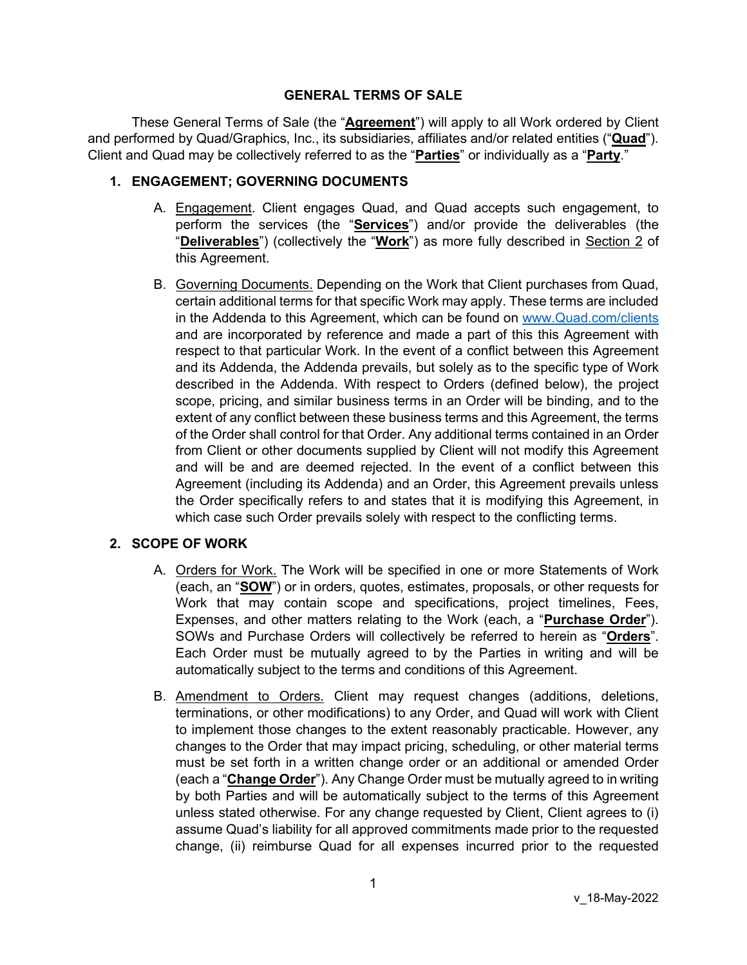#### **GENERAL TERMS OF SALE**

These General Terms of Sale (the "**Agreement**") will apply to all Work ordered by Client and performed by Quad/Graphics, Inc., its subsidiaries, affiliates and/or related entities ("**Quad**"). Client and Quad may be collectively referred to as the "**Parties**" or individually as a "**Party**."

### **1. ENGAGEMENT; GOVERNING DOCUMENTS**

- A. Engagement. Client engages Quad, and Quad accepts such engagement, to perform the services (the "**Services**") and/or provide the deliverables (the "**Deliverables**") (collectively the "**Work**") as more fully described in Section [2](#page-0-0) of this Agreement.
- B. Governing Documents. Depending on the Work that Client purchases from Quad, certain additional terms for that specific Work may apply. These terms are included in the Addenda to this Agreement, which can be found on [www.Quad.com/clients](http://www.quad.com/client) and are incorporated by reference and made a part of this this Agreement with respect to that particular Work. In the event of a conflict between this Agreement and its Addenda, the Addenda prevails, but solely as to the specific type of Work described in the Addenda. With respect to Orders (defined below), the project scope, pricing, and similar business terms in an Order will be binding, and to the extent of any conflict between these business terms and this Agreement, the terms of the Order shall control for that Order. Any additional terms contained in an Order from Client or other documents supplied by Client will not modify this Agreement and will be and are deemed rejected. In the event of a conflict between this Agreement (including its Addenda) and an Order, this Agreement prevails unless the Order specifically refers to and states that it is modifying this Agreement, in which case such Order prevails solely with respect to the conflicting terms.

# <span id="page-0-0"></span>**2. SCOPE OF WORK**

- A. Orders for Work. The Work will be specified in one or more Statements of Work (each, an "**SOW**") or in orders, quotes, estimates, proposals, or other requests for Work that may contain scope and specifications, project timelines, Fees, Expenses, and other matters relating to the Work (each, a "**Purchase Order**"). SOWs and Purchase Orders will collectively be referred to herein as "**Orders**". Each Order must be mutually agreed to by the Parties in writing and will be automatically subject to the terms and conditions of this Agreement.
- B. Amendment to Orders. Client may request changes (additions, deletions, terminations, or other modifications) to any Order, and Quad will work with Client to implement those changes to the extent reasonably practicable. However, any changes to the Order that may impact pricing, scheduling, or other material terms must be set forth in a written change order or an additional or amended Order (each a "**Change Order**"). Any Change Order must be mutually agreed to in writing by both Parties and will be automatically subject to the terms of this Agreement unless stated otherwise. For any change requested by Client, Client agrees to (i) assume Quad's liability for all approved commitments made prior to the requested change, (ii) reimburse Quad for all expenses incurred prior to the requested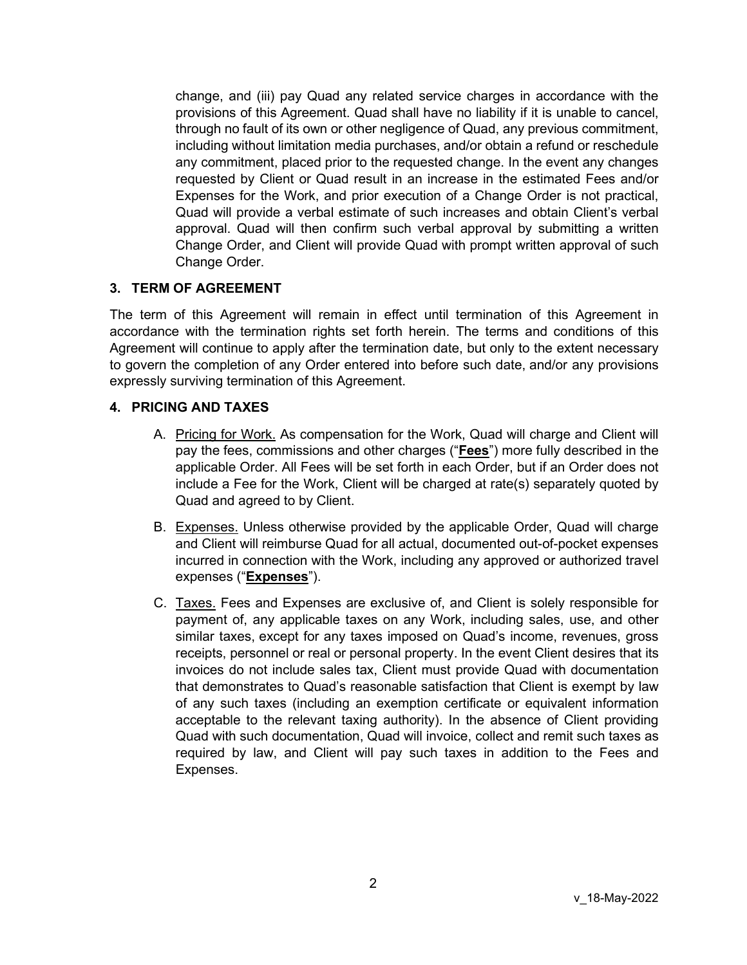change, and (iii) pay Quad any related service charges in accordance with the provisions of this Agreement. Quad shall have no liability if it is unable to cancel, through no fault of its own or other negligence of Quad, any previous commitment, including without limitation media purchases, and/or obtain a refund or reschedule any commitment, placed prior to the requested change. In the event any changes requested by Client or Quad result in an increase in the estimated Fees and/or Expenses for the Work, and prior execution of a Change Order is not practical, Quad will provide a verbal estimate of such increases and obtain Client's verbal approval. Quad will then confirm such verbal approval by submitting a written Change Order, and Client will provide Quad with prompt written approval of such Change Order.

### **3. TERM OF AGREEMENT**

The term of this Agreement will remain in effect until termination of this Agreement in accordance with the termination rights set forth herein. The terms and conditions of this Agreement will continue to apply after the termination date, but only to the extent necessary to govern the completion of any Order entered into before such date, and/or any provisions expressly surviving termination of this Agreement.

### **4. PRICING AND TAXES**

- A. Pricing for Work. As compensation for the Work, Quad will charge and Client will pay the fees, commissions and other charges ("**Fees**") more fully described in the applicable Order. All Fees will be set forth in each Order, but if an Order does not include a Fee for the Work, Client will be charged at rate(s) separately quoted by Quad and agreed to by Client.
- B. Expenses. Unless otherwise provided by the applicable Order, Quad will charge and Client will reimburse Quad for all actual, documented out-of-pocket expenses incurred in connection with the Work, including any approved or authorized travel expenses ("**Expenses**").
- C. Taxes. Fees and Expenses are exclusive of, and Client is solely responsible for payment of, any applicable taxes on any Work, including sales, use, and other similar taxes, except for any taxes imposed on Quad's income, revenues, gross receipts, personnel or real or personal property. In the event Client desires that its invoices do not include sales tax, Client must provide Quad with documentation that demonstrates to Quad's reasonable satisfaction that Client is exempt by law of any such taxes (including an exemption certificate or equivalent information acceptable to the relevant taxing authority). In the absence of Client providing Quad with such documentation, Quad will invoice, collect and remit such taxes as required by law, and Client will pay such taxes in addition to the Fees and Expenses.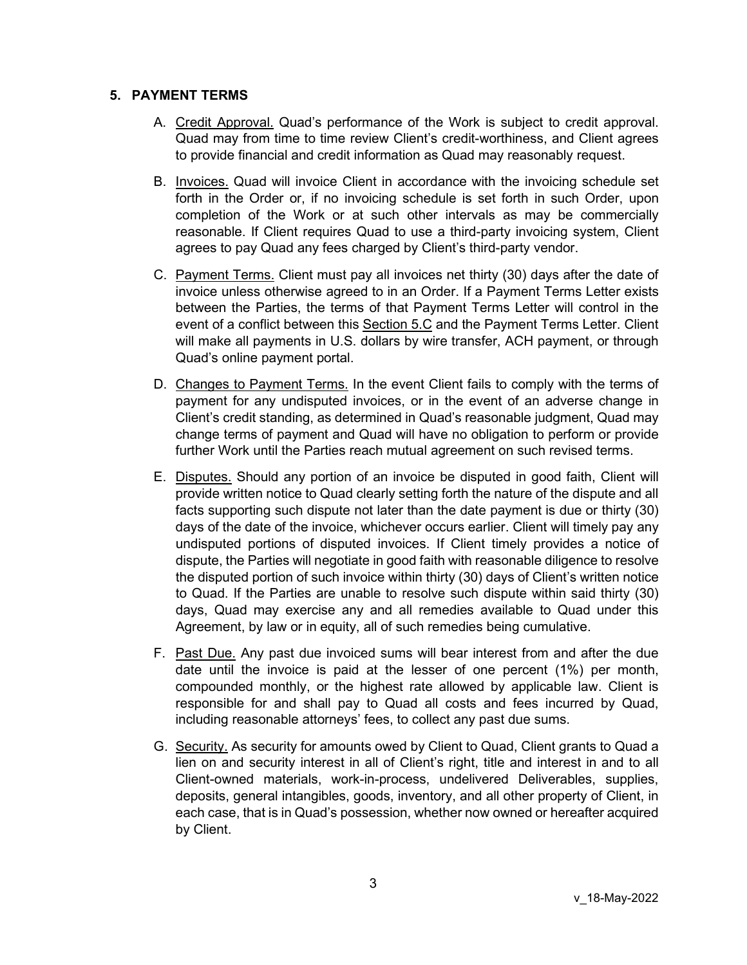#### **5. PAYMENT TERMS**

- A. Credit Approval. Quad's performance of the Work is subject to credit approval. Quad may from time to time review Client's credit-worthiness, and Client agrees to provide financial and credit information as Quad may reasonably request.
- B. Invoices. Quad will invoice Client in accordance with the invoicing schedule set forth in the Order or, if no invoicing schedule is set forth in such Order, upon completion of the Work or at such other intervals as may be commercially reasonable. If Client requires Quad to use a third-party invoicing system, Client agrees to pay Quad any fees charged by Client's third-party vendor.
- C. Payment Terms. Client must pay all invoices net thirty (30) days after the date of invoice unless otherwise agreed to in an Order. If a Payment Terms Letter exists between the Parties, the terms of that Payment Terms Letter will control in the event of a conflict between this Section 5.C and the Payment Terms Letter. Client will make all payments in U.S. dollars by wire transfer, ACH payment, or through Quad's online payment portal.
- D. Changes to Payment Terms. In the event Client fails to comply with the terms of payment for any undisputed invoices, or in the event of an adverse change in Client's credit standing, as determined in Quad's reasonable judgment, Quad may change terms of payment and Quad will have no obligation to perform or provide further Work until the Parties reach mutual agreement on such revised terms.
- E. Disputes. Should any portion of an invoice be disputed in good faith, Client will provide written notice to Quad clearly setting forth the nature of the dispute and all facts supporting such dispute not later than the date payment is due or thirty (30) days of the date of the invoice, whichever occurs earlier. Client will timely pay any undisputed portions of disputed invoices. If Client timely provides a notice of dispute, the Parties will negotiate in good faith with reasonable diligence to resolve the disputed portion of such invoice within thirty (30) days of Client's written notice to Quad. If the Parties are unable to resolve such dispute within said thirty (30) days, Quad may exercise any and all remedies available to Quad under this Agreement, by law or in equity, all of such remedies being cumulative.
- F. Past Due. Any past due invoiced sums will bear interest from and after the due date until the invoice is paid at the lesser of one percent (1%) per month, compounded monthly, or the highest rate allowed by applicable law. Client is responsible for and shall pay to Quad all costs and fees incurred by Quad, including reasonable attorneys' fees, to collect any past due sums.
- G. Security. As security for amounts owed by Client to Quad, Client grants to Quad a lien on and security interest in all of Client's right, title and interest in and to all Client-owned materials, work-in-process, undelivered Deliverables, supplies, deposits, general intangibles, goods, inventory, and all other property of Client, in each case, that is in Quad's possession, whether now owned or hereafter acquired by Client.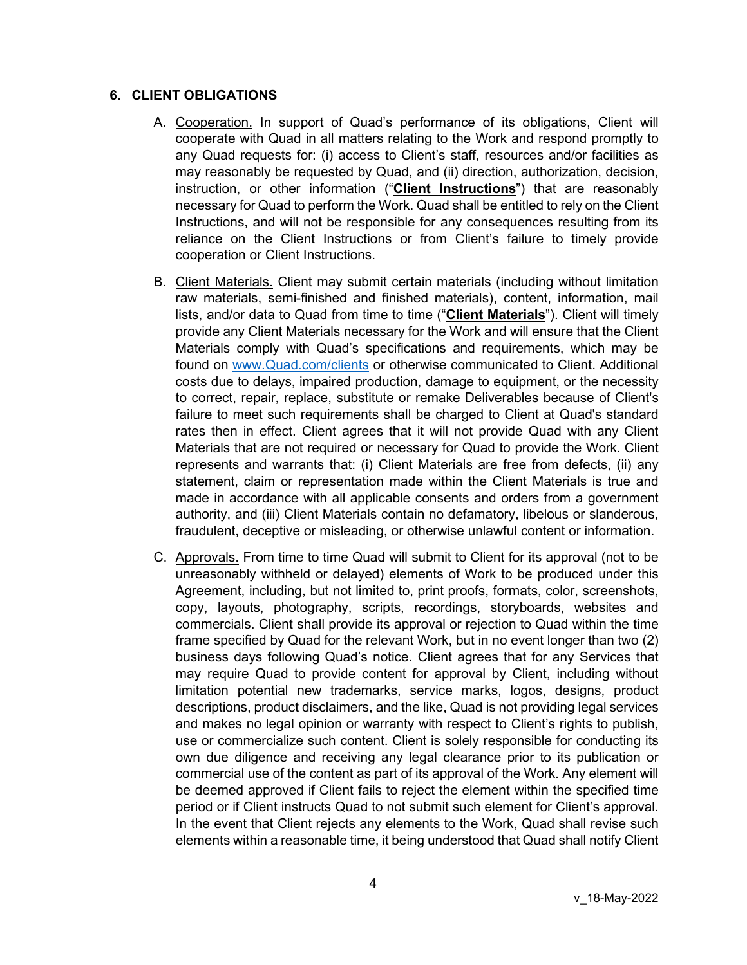#### <span id="page-3-0"></span>**6. CLIENT OBLIGATIONS**

- A. Cooperation. In support of Quad's performance of its obligations, Client will cooperate with Quad in all matters relating to the Work and respond promptly to any Quad requests for: (i) access to Client's staff, resources and/or facilities as may reasonably be requested by Quad, and (ii) direction, authorization, decision, instruction, or other information ("**Client Instructions**") that are reasonably necessary for Quad to perform the Work. Quad shall be entitled to rely on the Client Instructions, and will not be responsible for any consequences resulting from its reliance on the Client Instructions or from Client's failure to timely provide cooperation or Client Instructions.
- B. Client Materials. Client may submit certain materials (including without limitation raw materials, semi-finished and finished materials), content, information, mail lists, and/or data to Quad from time to time ("**Client Materials**"). Client will timely provide any Client Materials necessary for the Work and will ensure that the Client Materials comply with Quad's specifications and requirements, which may be found on [www.Quad.com/clients](http://www.quad.com/clients) or otherwise communicated to Client. Additional costs due to delays, impaired production, damage to equipment, or the necessity to correct, repair, replace, substitute or remake Deliverables because of Client's failure to meet such requirements shall be charged to Client at Quad's standard rates then in effect. Client agrees that it will not provide Quad with any Client Materials that are not required or necessary for Quad to provide the Work. Client represents and warrants that: (i) Client Materials are free from defects, (ii) any statement, claim or representation made within the Client Materials is true and made in accordance with all applicable consents and orders from a government authority, and (iii) Client Materials contain no defamatory, libelous or slanderous, fraudulent, deceptive or misleading, or otherwise unlawful content or information.
- C. Approvals. From time to time Quad will submit to Client for its approval (not to be unreasonably withheld or delayed) elements of Work to be produced under this Agreement, including, but not limited to, print proofs, formats, color, screenshots, copy, layouts, photography, scripts, recordings, storyboards, websites and commercials. Client shall provide its approval or rejection to Quad within the time frame specified by Quad for the relevant Work, but in no event longer than two (2) business days following Quad's notice. Client agrees that for any Services that may require Quad to provide content for approval by Client, including without limitation potential new trademarks, service marks, logos, designs, product descriptions, product disclaimers, and the like, Quad is not providing legal services and makes no legal opinion or warranty with respect to Client's rights to publish, use or commercialize such content. Client is solely responsible for conducting its own due diligence and receiving any legal clearance prior to its publication or commercial use of the content as part of its approval of the Work. Any element will be deemed approved if Client fails to reject the element within the specified time period or if Client instructs Quad to not submit such element for Client's approval. In the event that Client rejects any elements to the Work, Quad shall revise such elements within a reasonable time, it being understood that Quad shall notify Client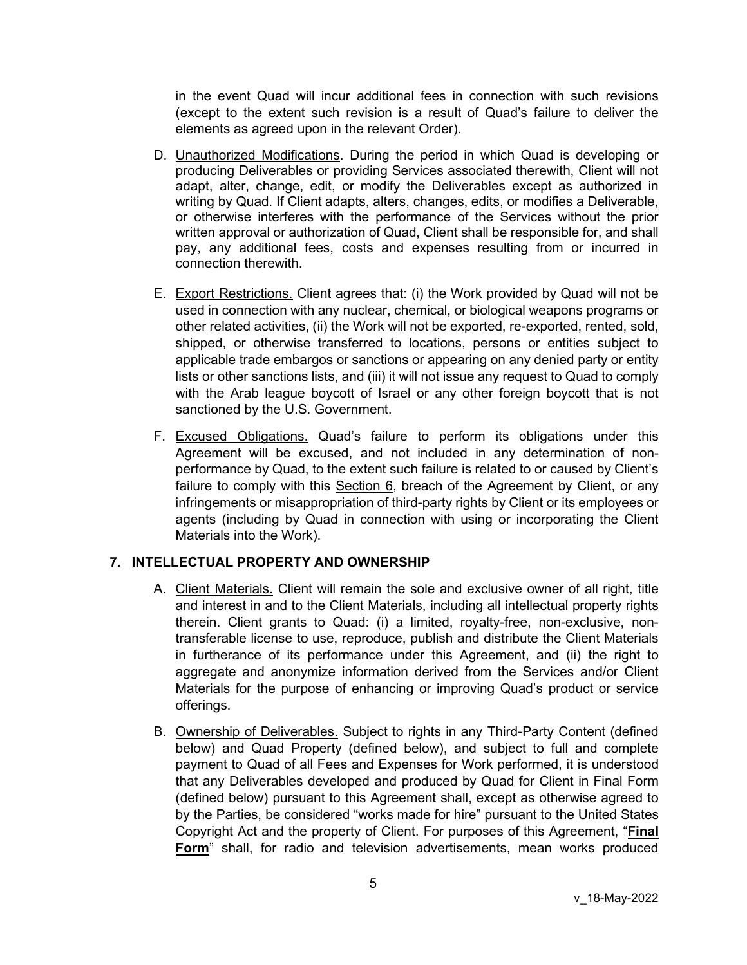in the event Quad will incur additional fees in connection with such revisions (except to the extent such revision is a result of Quad's failure to deliver the elements as agreed upon in the relevant Order).

- D. Unauthorized Modifications. During the period in which Quad is developing or producing Deliverables or providing Services associated therewith, Client will not adapt, alter, change, edit, or modify the Deliverables except as authorized in writing by Quad. If Client adapts, alters, changes, edits, or modifies a Deliverable, or otherwise interferes with the performance of the Services without the prior written approval or authorization of Quad, Client shall be responsible for, and shall pay, any additional fees, costs and expenses resulting from or incurred in connection therewith.
- E. Export Restrictions. Client agrees that: (i) the Work provided by Quad will not be used in connection with any nuclear, chemical, or biological weapons programs or other related activities, (ii) the Work will not be exported, re-exported, rented, sold, shipped, or otherwise transferred to locations, persons or entities subject to applicable trade embargos or sanctions or appearing on any denied party or entity lists or other sanctions lists, and (iii) it will not issue any request to Quad to comply with the Arab league boycott of Israel or any other foreign boycott that is not sanctioned by the U.S. Government.
- F. Excused Obligations. Quad's failure to perform its obligations under this Agreement will be excused, and not included in any determination of nonperformance by Quad, to the extent such failure is related to or caused by Client's failure to comply with this Section [6,](#page-3-0) breach of the Agreement by Client, or any infringements or misappropriation of third-party rights by Client or its employees or agents (including by Quad in connection with using or incorporating the Client Materials into the Work).

### **7. INTELLECTUAL PROPERTY AND OWNERSHIP**

- A. Client Materials. Client will remain the sole and exclusive owner of all right, title and interest in and to the Client Materials, including all intellectual property rights therein. Client grants to Quad: (i) a limited, royalty-free, non-exclusive, nontransferable license to use, reproduce, publish and distribute the Client Materials in furtherance of its performance under this Agreement, and (ii) the right to aggregate and anonymize information derived from the Services and/or Client Materials for the purpose of enhancing or improving Quad's product or service offerings.
- B. Ownership of Deliverables. Subject to rights in any Third-Party Content (defined below) and Quad Property (defined below), and subject to full and complete payment to Quad of all Fees and Expenses for Work performed, it is understood that any Deliverables developed and produced by Quad for Client in Final Form (defined below) pursuant to this Agreement shall, except as otherwise agreed to by the Parties, be considered "works made for hire" pursuant to the United States Copyright Act and the property of Client. For purposes of this Agreement, "**Final Form**" shall, for radio and television advertisements, mean works produced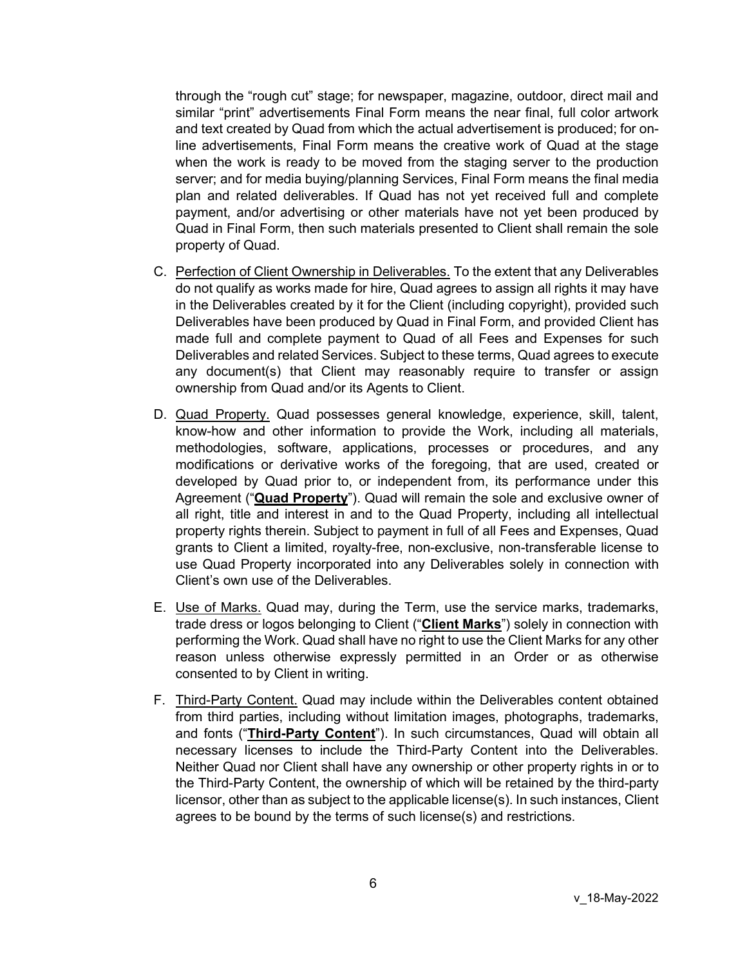through the "rough cut" stage; for newspaper, magazine, outdoor, direct mail and similar "print" advertisements Final Form means the near final, full color artwork and text created by Quad from which the actual advertisement is produced; for online advertisements, Final Form means the creative work of Quad at the stage when the work is ready to be moved from the staging server to the production server; and for media buying/planning Services, Final Form means the final media plan and related deliverables. If Quad has not yet received full and complete payment, and/or advertising or other materials have not yet been produced by Quad in Final Form, then such materials presented to Client shall remain the sole property of Quad.

- C. Perfection of Client Ownership in Deliverables. To the extent that any Deliverables do not qualify as works made for hire, Quad agrees to assign all rights it may have in the Deliverables created by it for the Client (including copyright), provided such Deliverables have been produced by Quad in Final Form, and provided Client has made full and complete payment to Quad of all Fees and Expenses for such Deliverables and related Services. Subject to these terms, Quad agrees to execute any document(s) that Client may reasonably require to transfer or assign ownership from Quad and/or its Agents to Client.
- D. Quad Property. Quad possesses general knowledge, experience, skill, talent, know-how and other information to provide the Work, including all materials, methodologies, software, applications, processes or procedures, and any modifications or derivative works of the foregoing, that are used, created or developed by Quad prior to, or independent from, its performance under this Agreement ("**Quad Property**"). Quad will remain the sole and exclusive owner of all right, title and interest in and to the Quad Property, including all intellectual property rights therein. Subject to payment in full of all Fees and Expenses, Quad grants to Client a limited, royalty-free, non-exclusive, non-transferable license to use Quad Property incorporated into any Deliverables solely in connection with Client's own use of the Deliverables.
- E. Use of Marks. Quad may, during the Term, use the service marks, trademarks, trade dress or logos belonging to Client ("**Client Marks**") solely in connection with performing the Work. Quad shall have no right to use the Client Marks for any other reason unless otherwise expressly permitted in an Order or as otherwise consented to by Client in writing.
- F. Third-Party Content. Quad may include within the Deliverables content obtained from third parties, including without limitation images, photographs, trademarks, and fonts ("**Third-Party Content**"). In such circumstances, Quad will obtain all necessary licenses to include the Third-Party Content into the Deliverables. Neither Quad nor Client shall have any ownership or other property rights in or to the Third-Party Content, the ownership of which will be retained by the third-party licensor, other than as subject to the applicable license(s). In such instances, Client agrees to be bound by the terms of such license(s) and restrictions.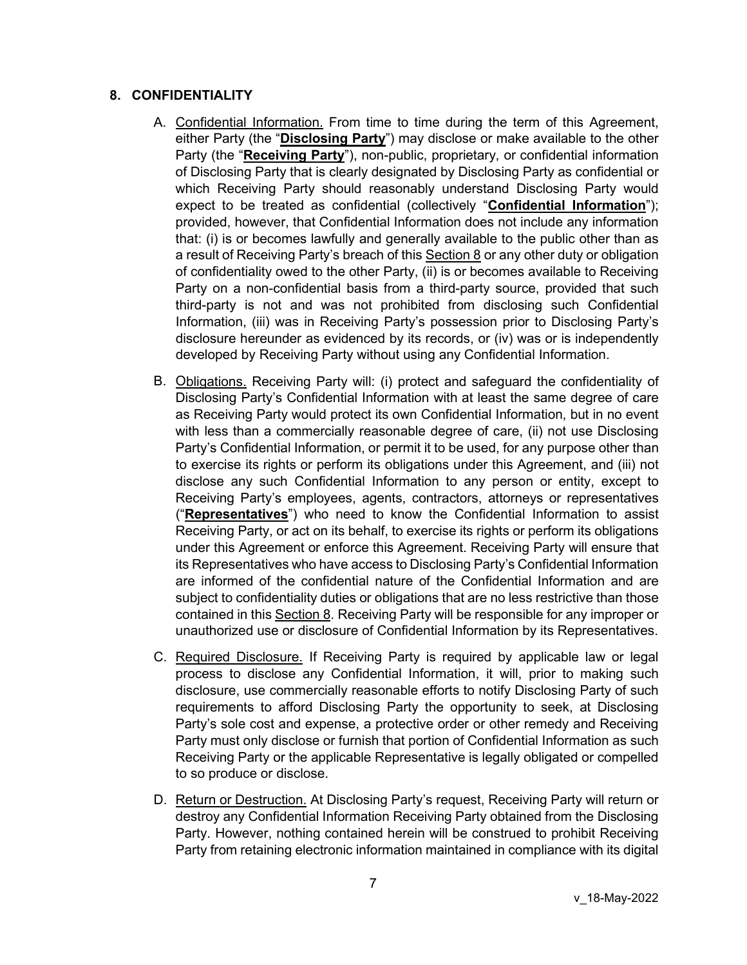# <span id="page-6-0"></span>**8. CONFIDENTIALITY**

- A. Confidential Information. From time to time during the term of this Agreement, either Party (the "**Disclosing Party**") may disclose or make available to the other Party (the "**Receiving Party**"), non-public, proprietary, or confidential information of Disclosing Party that is clearly designated by Disclosing Party as confidential or which Receiving Party should reasonably understand Disclosing Party would expect to be treated as confidential (collectively "**Confidential Information**"); provided, however, that Confidential Information does not include any information that: (i) is or becomes lawfully and generally available to the public other than as a result of Receiving Party's breach of this Section [8](#page-6-0) or any other duty or obligation of confidentiality owed to the other Party, (ii) is or becomes available to Receiving Party on a non-confidential basis from a third-party source, provided that such third-party is not and was not prohibited from disclosing such Confidential Information, (iii) was in Receiving Party's possession prior to Disclosing Party's disclosure hereunder as evidenced by its records, or (iv) was or is independently developed by Receiving Party without using any Confidential Information.
- B. Obligations. Receiving Party will: (i) protect and safeguard the confidentiality of Disclosing Party's Confidential Information with at least the same degree of care as Receiving Party would protect its own Confidential Information, but in no event with less than a commercially reasonable degree of care, (ii) not use Disclosing Party's Confidential Information, or permit it to be used, for any purpose other than to exercise its rights or perform its obligations under this Agreement, and (iii) not disclose any such Confidential Information to any person or entity, except to Receiving Party's employees, agents, contractors, attorneys or representatives ("**Representatives**") who need to know the Confidential Information to assist Receiving Party, or act on its behalf, to exercise its rights or perform its obligations under this Agreement or enforce this Agreement. Receiving Party will ensure that its Representatives who have access to Disclosing Party's Confidential Information are informed of the confidential nature of the Confidential Information and are subject to confidentiality duties or obligations that are no less restrictive than those contained in this Section [8.](#page-6-0) Receiving Party will be responsible for any improper or unauthorized use or disclosure of Confidential Information by its Representatives.
- C. Required Disclosure. If Receiving Party is required by applicable law or legal process to disclose any Confidential Information, it will, prior to making such disclosure, use commercially reasonable efforts to notify Disclosing Party of such requirements to afford Disclosing Party the opportunity to seek, at Disclosing Party's sole cost and expense, a protective order or other remedy and Receiving Party must only disclose or furnish that portion of Confidential Information as such Receiving Party or the applicable Representative is legally obligated or compelled to so produce or disclose.
- D. Return or Destruction. At Disclosing Party's request, Receiving Party will return or destroy any Confidential Information Receiving Party obtained from the Disclosing Party. However, nothing contained herein will be construed to prohibit Receiving Party from retaining electronic information maintained in compliance with its digital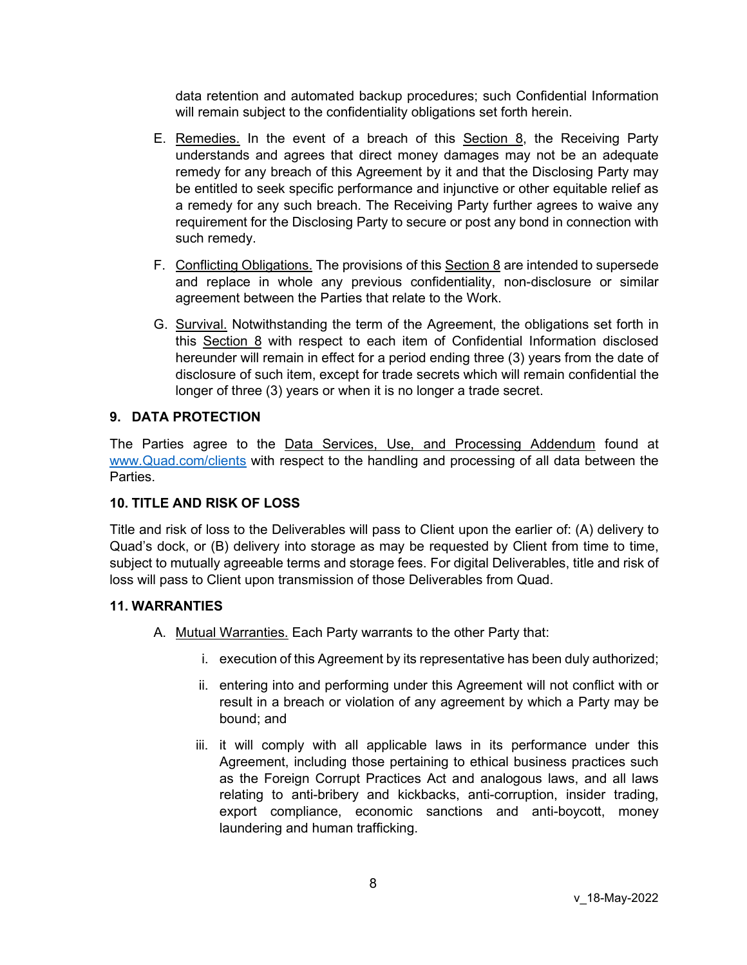data retention and automated backup procedures; such Confidential Information will remain subject to the confidentiality obligations set forth herein.

- E. Remedies. In the event of a breach of this Section [8,](#page-6-0) the Receiving Party understands and agrees that direct money damages may not be an adequate remedy for any breach of this Agreement by it and that the Disclosing Party may be entitled to seek specific performance and injunctive or other equitable relief as a remedy for any such breach. The Receiving Party further agrees to waive any requirement for the Disclosing Party to secure or post any bond in connection with such remedy.
- F. Conflicting Obligations. The provisions of this Section [8](#page-6-0) are intended to supersede and replace in whole any previous confidentiality, non-disclosure or similar agreement between the Parties that relate to the Work.
- G. Survival. Notwithstanding the term of the Agreement, the obligations set forth in this Section [8](#page-6-0) with respect to each item of Confidential Information disclosed hereunder will remain in effect for a period ending three (3) years from the date of disclosure of such item, except for trade secrets which will remain confidential the longer of three (3) years or when it is no longer a trade secret.

### **9. DATA PROTECTION**

The Parties agree to the Data Services, Use, and Processing Addendum found at [www.Quad.com/clients](http://www.quad.com/client) with respect to the handling and processing of all data between the Parties.

### **10. TITLE AND RISK OF LOSS**

Title and risk of loss to the Deliverables will pass to Client upon the earlier of: (A) delivery to Quad's dock, or (B) delivery into storage as may be requested by Client from time to time, subject to mutually agreeable terms and storage fees. For digital Deliverables, title and risk of loss will pass to Client upon transmission of those Deliverables from Quad.

### **11. WARRANTIES**

- A. Mutual Warranties. Each Party warrants to the other Party that:
	- i. execution of this Agreement by its representative has been duly authorized;
	- ii. entering into and performing under this Agreement will not conflict with or result in a breach or violation of any agreement by which a Party may be bound; and
	- iii. it will comply with all applicable laws in its performance under this Agreement, including those pertaining to ethical business practices such as the Foreign Corrupt Practices Act and analogous laws, and all laws relating to anti-bribery and kickbacks, anti-corruption, insider trading, export compliance, economic sanctions and anti-boycott, money laundering and human trafficking.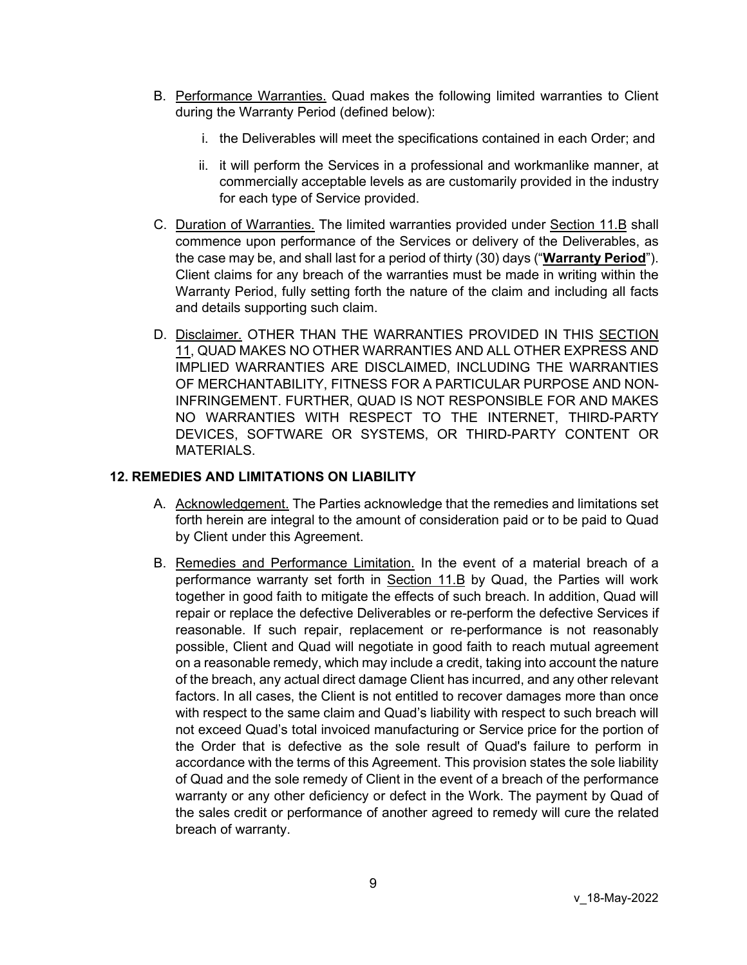- <span id="page-8-0"></span>B. Performance Warranties. Quad makes the following limited warranties to Client during the Warranty Period (defined below):
	- i. the Deliverables will meet the specifications contained in each Order; and
	- ii. it will perform the Services in a professional and workmanlike manner, at commercially acceptable levels as are customarily provided in the industry for each type of Service provided.
- C. Duration of Warranties. The limited warranties provided under Section [11.B](#page-8-0) shall commence upon performance of the Services or delivery of the Deliverables, as the case may be, and shall last for a period of thirty (30) days ("**Warranty Period**"). Client claims for any breach of the warranties must be made in writing within the Warranty Period, fully setting forth the nature of the claim and including all facts and details supporting such claim.
- D. Disclaimer. OTHER THAN THE WARRANTIES PROVIDED IN THIS SECTION 11, QUAD MAKES NO OTHER WARRANTIES AND ALL OTHER EXPRESS AND IMPLIED WARRANTIES ARE DISCLAIMED, INCLUDING THE WARRANTIES OF MERCHANTABILITY, FITNESS FOR A PARTICULAR PURPOSE AND NON-INFRINGEMENT. FURTHER, QUAD IS NOT RESPONSIBLE FOR AND MAKES NO WARRANTIES WITH RESPECT TO THE INTERNET, THIRD-PARTY DEVICES, SOFTWARE OR SYSTEMS, OR THIRD-PARTY CONTENT OR MATERIALS.

#### **12. REMEDIES AND LIMITATIONS ON LIABILITY**

- A. Acknowledgement. The Parties acknowledge that the remedies and limitations set forth herein are integral to the amount of consideration paid or to be paid to Quad by Client under this Agreement.
- <span id="page-8-1"></span>B. Remedies and Performance Limitation. In the event of a material breach of a performance warranty set forth in Section [11.B](#page-8-0) by Quad, the Parties will work together in good faith to mitigate the effects of such breach. In addition, Quad will repair or replace the defective Deliverables or re-perform the defective Services if reasonable. If such repair, replacement or re-performance is not reasonably possible, Client and Quad will negotiate in good faith to reach mutual agreement on a reasonable remedy, which may include a credit, taking into account the nature of the breach, any actual direct damage Client has incurred, and any other relevant factors. In all cases, the Client is not entitled to recover damages more than once with respect to the same claim and Quad's liability with respect to such breach will not exceed Quad's total invoiced manufacturing or Service price for the portion of the Order that is defective as the sole result of Quad's failure to perform in accordance with the terms of this Agreement. This provision states the sole liability of Quad and the sole remedy of Client in the event of a breach of the performance warranty or any other deficiency or defect in the Work. The payment by Quad of the sales credit or performance of another agreed to remedy will cure the related breach of warranty.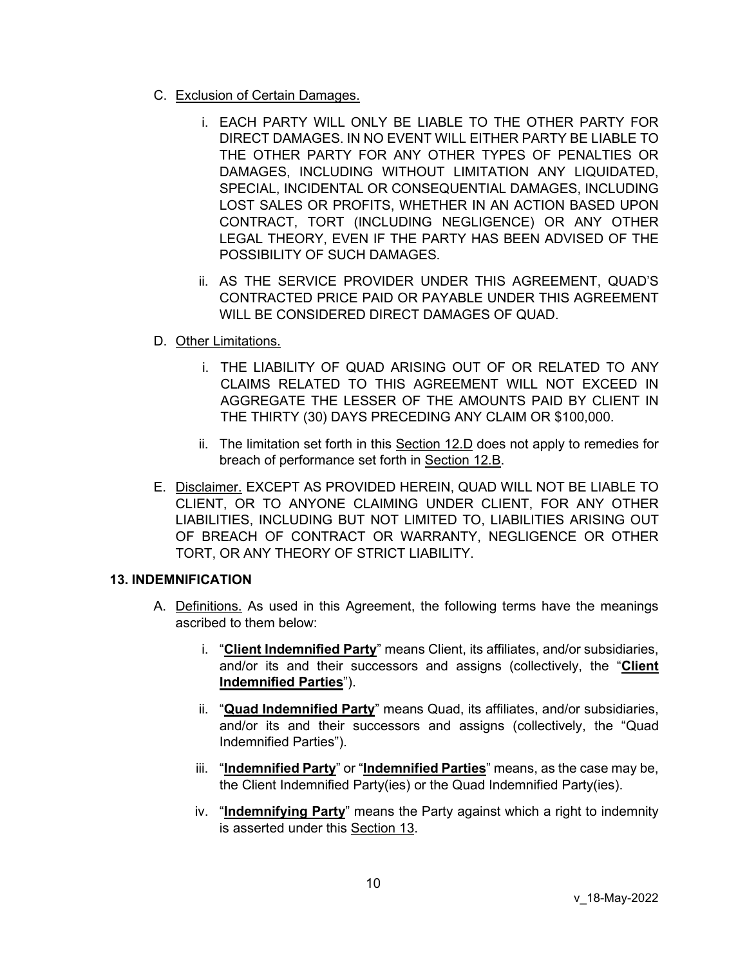- C. Exclusion of Certain Damages.
	- i. EACH PARTY WILL ONLY BE LIABLE TO THE OTHER PARTY FOR DIRECT DAMAGES. IN NO EVENT WILL EITHER PARTY BE LIABLE TO THE OTHER PARTY FOR ANY OTHER TYPES OF PENALTIES OR DAMAGES, INCLUDING WITHOUT LIMITATION ANY LIQUIDATED, SPECIAL, INCIDENTAL OR CONSEQUENTIAL DAMAGES, INCLUDING LOST SALES OR PROFITS, WHETHER IN AN ACTION BASED UPON CONTRACT, TORT (INCLUDING NEGLIGENCE) OR ANY OTHER LEGAL THEORY, EVEN IF THE PARTY HAS BEEN ADVISED OF THE POSSIBILITY OF SUCH DAMAGES.
	- ii. AS THE SERVICE PROVIDER UNDER THIS AGREEMENT, QUAD'S CONTRACTED PRICE PAID OR PAYABLE UNDER THIS AGREEMENT WILL BE CONSIDERED DIRECT DAMAGES OF QUAD.
- <span id="page-9-0"></span>D. Other Limitations.
	- i. THE LIABILITY OF QUAD ARISING OUT OF OR RELATED TO ANY CLAIMS RELATED TO THIS AGREEMENT WILL NOT EXCEED IN AGGREGATE THE LESSER OF THE AMOUNTS PAID BY CLIENT IN THE THIRTY (30) DAYS PRECEDING ANY CLAIM OR \$100,000.
	- ii. The limitation set forth in this Section [12.D](#page-9-0) does not apply to remedies for breach of performance set forth in Section [12.B.](#page-8-1)
- E. Disclaimer. EXCEPT AS PROVIDED HEREIN, QUAD WILL NOT BE LIABLE TO CLIENT, OR TO ANYONE CLAIMING UNDER CLIENT, FOR ANY OTHER LIABILITIES, INCLUDING BUT NOT LIMITED TO, LIABILITIES ARISING OUT OF BREACH OF CONTRACT OR WARRANTY, NEGLIGENCE OR OTHER TORT, OR ANY THEORY OF STRICT LIABILITY.

### <span id="page-9-1"></span>**13. INDEMNIFICATION**

- A. Definitions. As used in this Agreement, the following terms have the meanings ascribed to them below:
	- i. "**Client Indemnified Party**" means Client, its affiliates, and/or subsidiaries, and/or its and their successors and assigns (collectively, the "**Client Indemnified Parties**").
	- ii. "**Quad Indemnified Party**" means Quad, its affiliates, and/or subsidiaries, and/or its and their successors and assigns (collectively, the "Quad Indemnified Parties").
	- iii. "**Indemnified Party**" or "**Indemnified Parties**" means, as the case may be, the Client Indemnified Party(ies) or the Quad Indemnified Party(ies).
	- iv. "**Indemnifying Party**" means the Party against which a right to indemnity is asserted under this Section [13.](#page-9-1)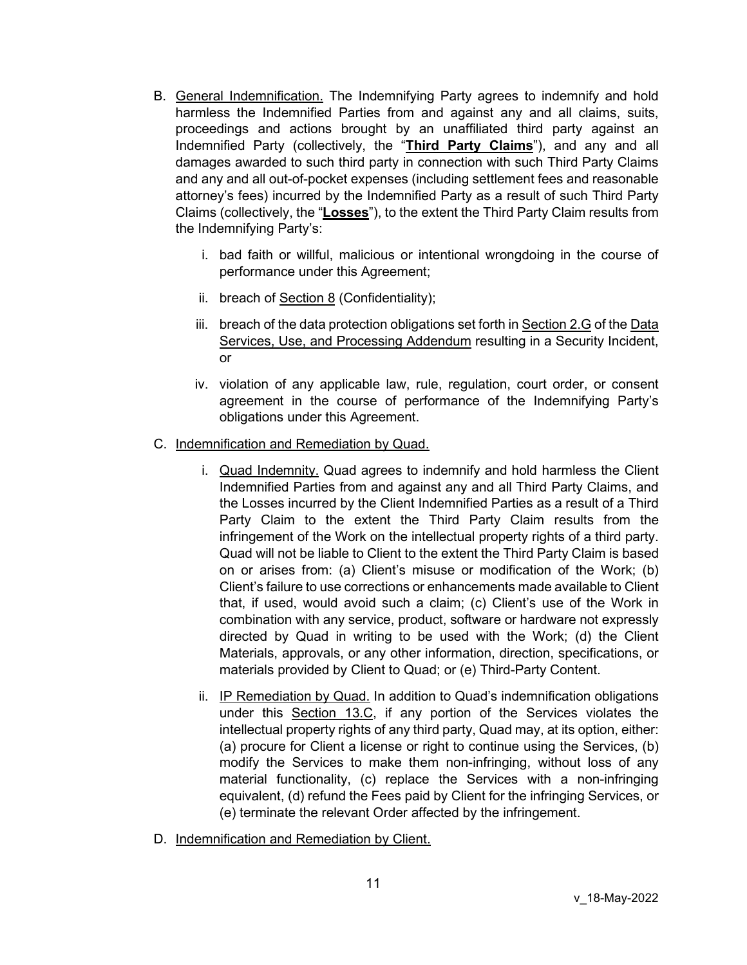- B. General Indemnification. The Indemnifying Party agrees to indemnify and hold harmless the Indemnified Parties from and against any and all claims, suits, proceedings and actions brought by an unaffiliated third party against an Indemnified Party (collectively, the "**Third Party Claims**"), and any and all damages awarded to such third party in connection with such Third Party Claims and any and all out-of-pocket expenses (including settlement fees and reasonable attorney's fees) incurred by the Indemnified Party as a result of such Third Party Claims (collectively, the "**Losses**"), to the extent the Third Party Claim results from the Indemnifying Party's:
	- i. bad faith or willful, malicious or intentional wrongdoing in the course of performance under this Agreement;
	- ii. breach of Section [8](#page-6-0) (Confidentiality);
	- iii. breach of the data protection obligations set forth in Section 2.G of the Data Services, Use, and Processing Addendum resulting in a Security Incident, or
	- iv. violation of any applicable law, rule, regulation, court order, or consent agreement in the course of performance of the Indemnifying Party's obligations under this Agreement.
- <span id="page-10-0"></span>C. Indemnification and Remediation by Quad.
	- i. Quad Indemnity. Quad agrees to indemnify and hold harmless the Client Indemnified Parties from and against any and all Third Party Claims, and the Losses incurred by the Client Indemnified Parties as a result of a Third Party Claim to the extent the Third Party Claim results from the infringement of the Work on the intellectual property rights of a third party. Quad will not be liable to Client to the extent the Third Party Claim is based on or arises from: (a) Client's misuse or modification of the Work; (b) Client's failure to use corrections or enhancements made available to Client that, if used, would avoid such a claim; (c) Client's use of the Work in combination with any service, product, software or hardware not expressly directed by Quad in writing to be used with the Work; (d) the Client Materials, approvals, or any other information, direction, specifications, or materials provided by Client to Quad; or (e) Third-Party Content.
	- ii. IP Remediation by Quad. In addition to Quad's indemnification obligations under this Section [13.C,](#page-10-0) if any portion of the Services violates the intellectual property rights of any third party, Quad may, at its option, either: (a) procure for Client a license or right to continue using the Services, (b) modify the Services to make them non-infringing, without loss of any material functionality, (c) replace the Services with a non-infringing equivalent, (d) refund the Fees paid by Client for the infringing Services, or (e) terminate the relevant Order affected by the infringement.
- <span id="page-10-1"></span>D. Indemnification and Remediation by Client.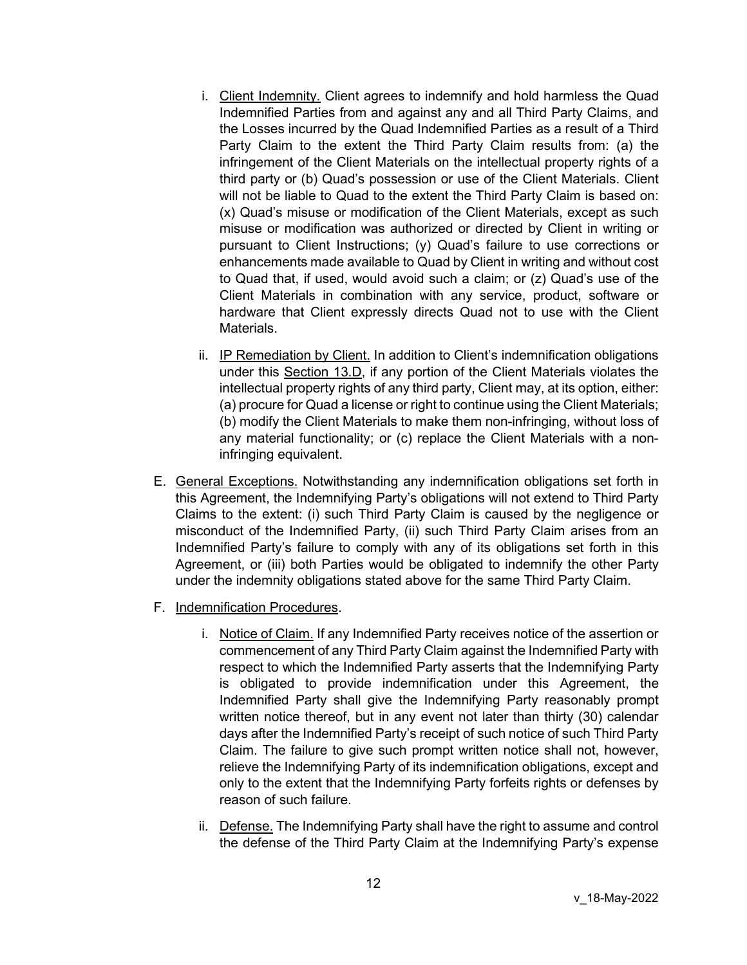- i. Client Indemnity. Client agrees to indemnify and hold harmless the Quad Indemnified Parties from and against any and all Third Party Claims, and the Losses incurred by the Quad Indemnified Parties as a result of a Third Party Claim to the extent the Third Party Claim results from: (a) the infringement of the Client Materials on the intellectual property rights of a third party or (b) Quad's possession or use of the Client Materials. Client will not be liable to Quad to the extent the Third Party Claim is based on: (x) Quad's misuse or modification of the Client Materials, except as such misuse or modification was authorized or directed by Client in writing or pursuant to Client Instructions; (y) Quad's failure to use corrections or enhancements made available to Quad by Client in writing and without cost to Quad that, if used, would avoid such a claim; or (z) Quad's use of the Client Materials in combination with any service, product, software or hardware that Client expressly directs Quad not to use with the Client Materials.
- ii. IP Remediation by Client. In addition to Client's indemnification obligations under this Section [13.D,](#page-10-1) if any portion of the Client Materials violates the intellectual property rights of any third party, Client may, at its option, either: (a) procure for Quad a license or right to continue using the Client Materials; (b) modify the Client Materials to make them non-infringing, without loss of any material functionality; or (c) replace the Client Materials with a noninfringing equivalent.
- E. General Exceptions. Notwithstanding any indemnification obligations set forth in this Agreement, the Indemnifying Party's obligations will not extend to Third Party Claims to the extent: (i) such Third Party Claim is caused by the negligence or misconduct of the Indemnified Party, (ii) such Third Party Claim arises from an Indemnified Party's failure to comply with any of its obligations set forth in this Agreement, or (iii) both Parties would be obligated to indemnify the other Party under the indemnity obligations stated above for the same Third Party Claim.
- F. Indemnification Procedures.
	- i. Notice of Claim. If any Indemnified Party receives notice of the assertion or commencement of any Third Party Claim against the Indemnified Party with respect to which the Indemnified Party asserts that the Indemnifying Party is obligated to provide indemnification under this Agreement, the Indemnified Party shall give the Indemnifying Party reasonably prompt written notice thereof, but in any event not later than thirty (30) calendar days after the Indemnified Party's receipt of such notice of such Third Party Claim. The failure to give such prompt written notice shall not, however, relieve the Indemnifying Party of its indemnification obligations, except and only to the extent that the Indemnifying Party forfeits rights or defenses by reason of such failure.
	- ii. Defense. The Indemnifying Party shall have the right to assume and control the defense of the Third Party Claim at the Indemnifying Party's expense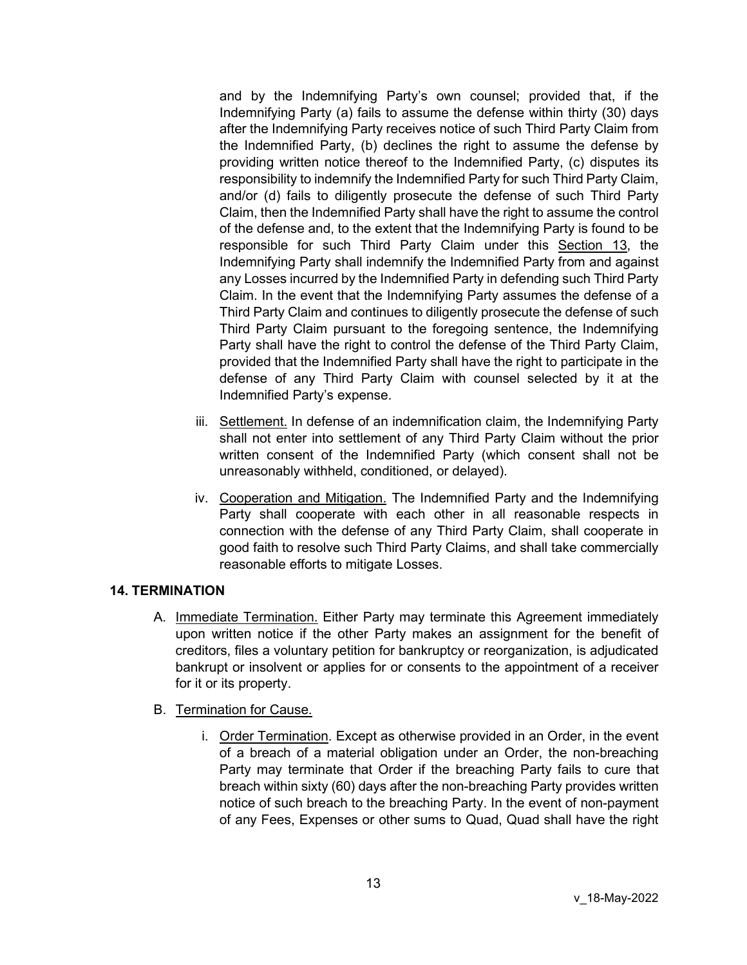and by the Indemnifying Party's own counsel; provided that, if the Indemnifying Party (a) fails to assume the defense within thirty (30) days after the Indemnifying Party receives notice of such Third Party Claim from the Indemnified Party, (b) declines the right to assume the defense by providing written notice thereof to the Indemnified Party, (c) disputes its responsibility to indemnify the Indemnified Party for such Third Party Claim, and/or (d) fails to diligently prosecute the defense of such Third Party Claim, then the Indemnified Party shall have the right to assume the control of the defense and, to the extent that the Indemnifying Party is found to be responsible for such Third Party Claim under this Section [13,](#page-9-1) the Indemnifying Party shall indemnify the Indemnified Party from and against any Losses incurred by the Indemnified Party in defending such Third Party Claim. In the event that the Indemnifying Party assumes the defense of a Third Party Claim and continues to diligently prosecute the defense of such Third Party Claim pursuant to the foregoing sentence, the Indemnifying Party shall have the right to control the defense of the Third Party Claim, provided that the Indemnified Party shall have the right to participate in the defense of any Third Party Claim with counsel selected by it at the Indemnified Party's expense.

- iii. Settlement. In defense of an indemnification claim, the Indemnifying Party shall not enter into settlement of any Third Party Claim without the prior written consent of the Indemnified Party (which consent shall not be unreasonably withheld, conditioned, or delayed).
- iv. Cooperation and Mitigation. The Indemnified Party and the Indemnifying Party shall cooperate with each other in all reasonable respects in connection with the defense of any Third Party Claim, shall cooperate in good faith to resolve such Third Party Claims, and shall take commercially reasonable efforts to mitigate Losses.

# **14. TERMINATION**

A. Immediate Termination. Either Party may terminate this Agreement immediately upon written notice if the other Party makes an assignment for the benefit of creditors, files a voluntary petition for bankruptcy or reorganization, is adjudicated bankrupt or insolvent or applies for or consents to the appointment of a receiver for it or its property.

#### B. Termination for Cause.

i. Order Termination. Except as otherwise provided in an Order, in the event of a breach of a material obligation under an Order, the non-breaching Party may terminate that Order if the breaching Party fails to cure that breach within sixty (60) days after the non-breaching Party provides written notice of such breach to the breaching Party. In the event of non-payment of any Fees, Expenses or other sums to Quad, Quad shall have the right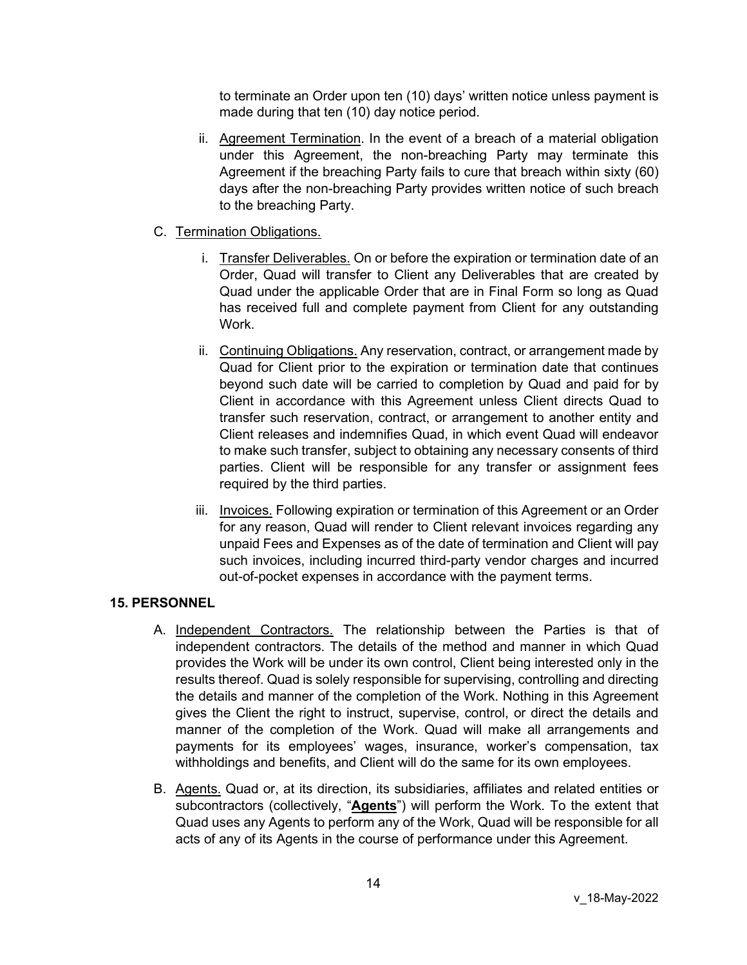to terminate an Order upon ten (10) days' written notice unless payment is made during that ten (10) day notice period.

- ii. Agreement Termination. In the event of a breach of a material obligation under this Agreement, the non-breaching Party may terminate this Agreement if the breaching Party fails to cure that breach within sixty (60) days after the non-breaching Party provides written notice of such breach to the breaching Party.
- C. Termination Obligations.
	- i. Transfer Deliverables. On or before the expiration or termination date of an Order, Quad will transfer to Client any Deliverables that are created by Quad under the applicable Order that are in Final Form so long as Quad has received full and complete payment from Client for any outstanding Work.
	- ii. Continuing Obligations. Any reservation, contract, or arrangement made by Quad for Client prior to the expiration or termination date that continues beyond such date will be carried to completion by Quad and paid for by Client in accordance with this Agreement unless Client directs Quad to transfer such reservation, contract, or arrangement to another entity and Client releases and indemnifies Quad, in which event Quad will endeavor to make such transfer, subject to obtaining any necessary consents of third parties. Client will be responsible for any transfer or assignment fees required by the third parties.
	- iii. Invoices. Following expiration or termination of this Agreement or an Order for any reason, Quad will render to Client relevant invoices regarding any unpaid Fees and Expenses as of the date of termination and Client will pay such invoices, including incurred third-party vendor charges and incurred out-of-pocket expenses in accordance with the payment terms.

# **15. PERSONNEL**

- A. Independent Contractors. The relationship between the Parties is that of independent contractors. The details of the method and manner in which Quad provides the Work will be under its own control, Client being interested only in the results thereof. Quad is solely responsible for supervising, controlling and directing the details and manner of the completion of the Work. Nothing in this Agreement gives the Client the right to instruct, supervise, control, or direct the details and manner of the completion of the Work. Quad will make all arrangements and payments for its employees' wages, insurance, worker's compensation, tax withholdings and benefits, and Client will do the same for its own employees.
- B. Agents. Quad or, at its direction, its subsidiaries, affiliates and related entities or subcontractors (collectively, "**Agents**") will perform the Work. To the extent that Quad uses any Agents to perform any of the Work, Quad will be responsible for all acts of any of its Agents in the course of performance under this Agreement.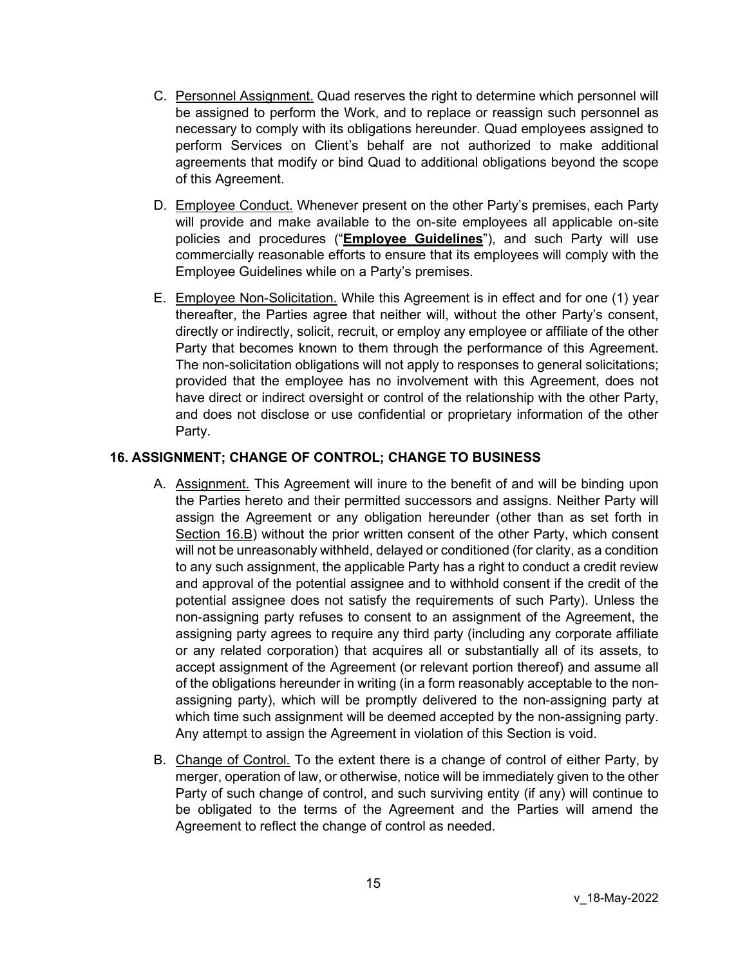- C. Personnel Assignment. Quad reserves the right to determine which personnel will be assigned to perform the Work, and to replace or reassign such personnel as necessary to comply with its obligations hereunder. Quad employees assigned to perform Services on Client's behalf are not authorized to make additional agreements that modify or bind Quad to additional obligations beyond the scope of this Agreement.
- D. Employee Conduct. Whenever present on the other Party's premises, each Party will provide and make available to the on-site employees all applicable on-site policies and procedures ("**Employee Guidelines**"), and such Party will use commercially reasonable efforts to ensure that its employees will comply with the Employee Guidelines while on a Party's premises.
- E. Employee Non-Solicitation. While this Agreement is in effect and for one (1) year thereafter, the Parties agree that neither will, without the other Party's consent, directly or indirectly, solicit, recruit, or employ any employee or affiliate of the other Party that becomes known to them through the performance of this Agreement. The non-solicitation obligations will not apply to responses to general solicitations; provided that the employee has no involvement with this Agreement, does not have direct or indirect oversight or control of the relationship with the other Party, and does not disclose or use confidential or proprietary information of the other Party.

# **16. ASSIGNMENT; CHANGE OF CONTROL; CHANGE TO BUSINESS**

- A. Assignment. This Agreement will inure to the benefit of and will be binding upon the Parties hereto and their permitted successors and assigns. Neither Party will assign the Agreement or any obligation hereunder (other than as set forth in Section [16.B\)](#page-14-0) without the prior written consent of the other Party, which consent will not be unreasonably withheld, delayed or conditioned (for clarity, as a condition to any such assignment, the applicable Party has a right to conduct a credit review and approval of the potential assignee and to withhold consent if the credit of the potential assignee does not satisfy the requirements of such Party). Unless the non-assigning party refuses to consent to an assignment of the Agreement, the assigning party agrees to require any third party (including any corporate affiliate or any related corporation) that acquires all or substantially all of its assets, to accept assignment of the Agreement (or relevant portion thereof) and assume all of the obligations hereunder in writing (in a form reasonably acceptable to the nonassigning party), which will be promptly delivered to the non-assigning party at which time such assignment will be deemed accepted by the non-assigning party. Any attempt to assign the Agreement in violation of this Section is void.
- <span id="page-14-0"></span>B. Change of Control. To the extent there is a change of control of either Party, by merger, operation of law, or otherwise, notice will be immediately given to the other Party of such change of control, and such surviving entity (if any) will continue to be obligated to the terms of the Agreement and the Parties will amend the Agreement to reflect the change of control as needed.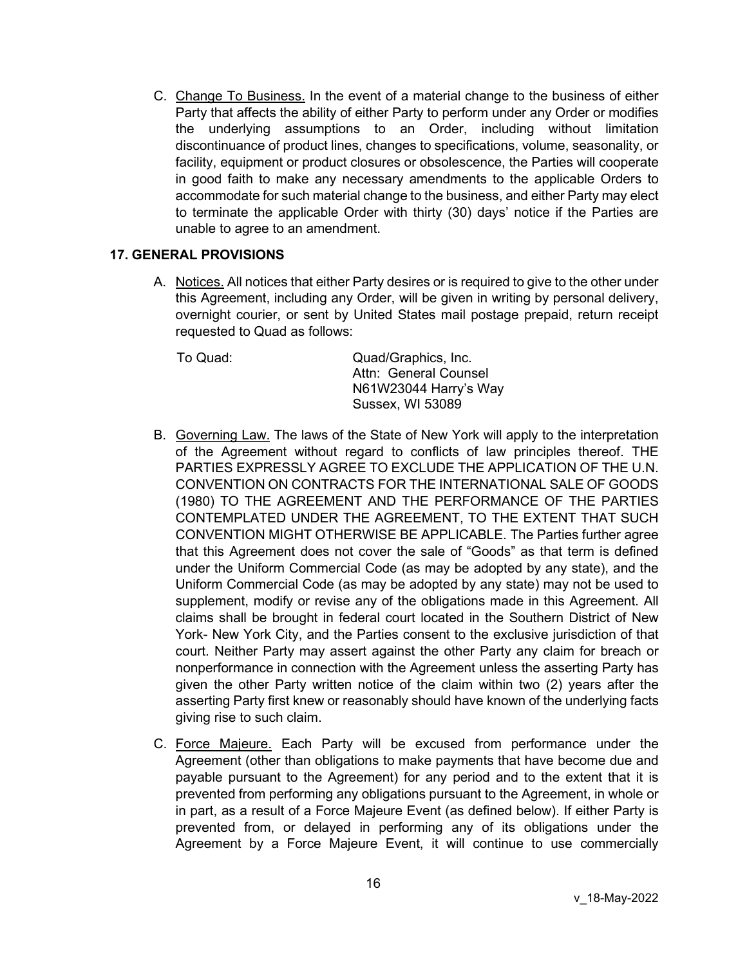C. Change To Business. In the event of a material change to the business of either Party that affects the ability of either Party to perform under any Order or modifies the underlying assumptions to an Order, including without limitation discontinuance of product lines, changes to specifications, volume, seasonality, or facility, equipment or product closures or obsolescence, the Parties will cooperate in good faith to make any necessary amendments to the applicable Orders to accommodate for such material change to the business, and either Party may elect to terminate the applicable Order with thirty (30) days' notice if the Parties are unable to agree to an amendment.

### **17. GENERAL PROVISIONS**

A. Notices. All notices that either Party desires or is required to give to the other under this Agreement, including any Order, will be given in writing by personal delivery, overnight courier, or sent by United States mail postage prepaid, return receipt requested to Quad as follows:

To Quad: Quad/Graphics, Inc. Attn: General Counsel N61W23044 Harry's Way Sussex, WI 53089

- B. Governing Law. The laws of the State of New York will apply to the interpretation of the Agreement without regard to conflicts of law principles thereof. THE PARTIES EXPRESSLY AGREE TO EXCLUDE THE APPLICATION OF THE U.N. CONVENTION ON CONTRACTS FOR THE INTERNATIONAL SALE OF GOODS (1980) TO THE AGREEMENT AND THE PERFORMANCE OF THE PARTIES CONTEMPLATED UNDER THE AGREEMENT, TO THE EXTENT THAT SUCH CONVENTION MIGHT OTHERWISE BE APPLICABLE. The Parties further agree that this Agreement does not cover the sale of "Goods" as that term is defined under the Uniform Commercial Code (as may be adopted by any state), and the Uniform Commercial Code (as may be adopted by any state) may not be used to supplement, modify or revise any of the obligations made in this Agreement. All claims shall be brought in federal court located in the Southern District of New York- New York City, and the Parties consent to the exclusive jurisdiction of that court. Neither Party may assert against the other Party any claim for breach or nonperformance in connection with the Agreement unless the asserting Party has given the other Party written notice of the claim within two (2) years after the asserting Party first knew or reasonably should have known of the underlying facts giving rise to such claim.
- C. Force Majeure. Each Party will be excused from performance under the Agreement (other than obligations to make payments that have become due and payable pursuant to the Agreement) for any period and to the extent that it is prevented from performing any obligations pursuant to the Agreement, in whole or in part, as a result of a Force Majeure Event (as defined below). If either Party is prevented from, or delayed in performing any of its obligations under the Agreement by a Force Majeure Event, it will continue to use commercially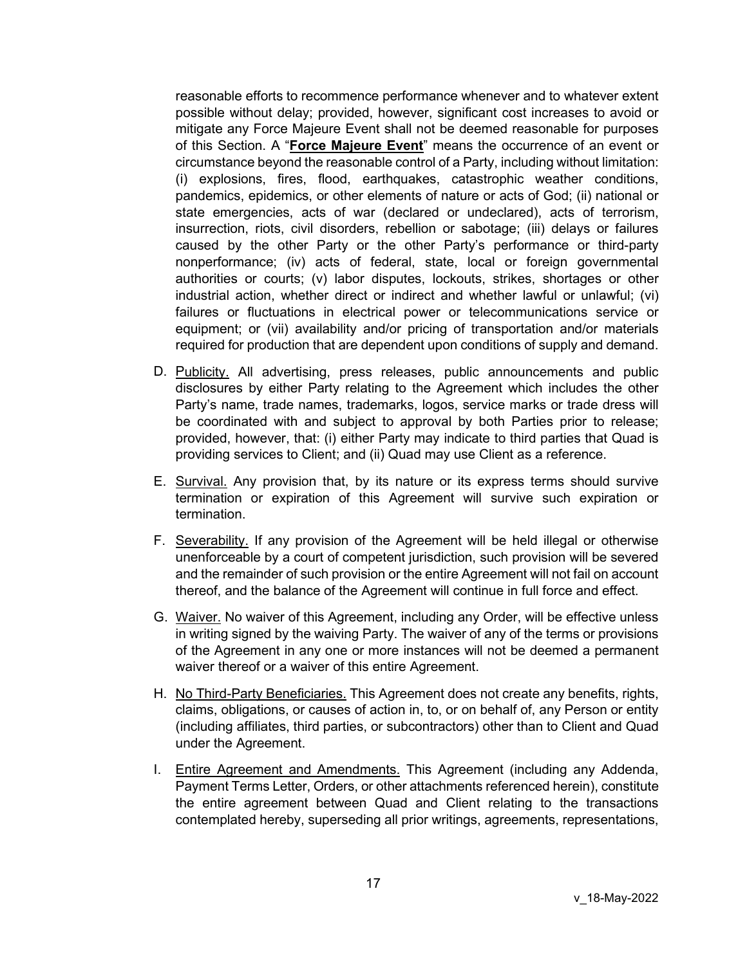reasonable efforts to recommence performance whenever and to whatever extent possible without delay; provided, however, significant cost increases to avoid or mitigate any Force Majeure Event shall not be deemed reasonable for purposes of this Section. A "**Force Majeure Event**" means the occurrence of an event or circumstance beyond the reasonable control of a Party, including without limitation: (i) explosions, fires, flood, earthquakes, catastrophic weather conditions, pandemics, epidemics, or other elements of nature or acts of God; (ii) national or state emergencies, acts of war (declared or undeclared), acts of terrorism, insurrection, riots, civil disorders, rebellion or sabotage; (iii) delays or failures caused by the other Party or the other Party's performance or third-party nonperformance; (iv) acts of federal, state, local or foreign governmental authorities or courts; (v) labor disputes, lockouts, strikes, shortages or other industrial action, whether direct or indirect and whether lawful or unlawful; (vi) failures or fluctuations in electrical power or telecommunications service or equipment; or (vii) availability and/or pricing of transportation and/or materials required for production that are dependent upon conditions of supply and demand.

- D. Publicity. All advertising, press releases, public announcements and public disclosures by either Party relating to the Agreement which includes the other Party's name, trade names, trademarks, logos, service marks or trade dress will be coordinated with and subject to approval by both Parties prior to release; provided, however, that: (i) either Party may indicate to third parties that Quad is providing services to Client; and (ii) Quad may use Client as a reference.
- E. Survival. Any provision that, by its nature or its express terms should survive termination or expiration of this Agreement will survive such expiration or termination.
- F. Severability. If any provision of the Agreement will be held illegal or otherwise unenforceable by a court of competent jurisdiction, such provision will be severed and the remainder of such provision or the entire Agreement will not fail on account thereof, and the balance of the Agreement will continue in full force and effect.
- G. Waiver. No waiver of this Agreement, including any Order, will be effective unless in writing signed by the waiving Party. The waiver of any of the terms or provisions of the Agreement in any one or more instances will not be deemed a permanent waiver thereof or a waiver of this entire Agreement.
- H. No Third-Party Beneficiaries. This Agreement does not create any benefits, rights, claims, obligations, or causes of action in, to, or on behalf of, any Person or entity (including affiliates, third parties, or subcontractors) other than to Client and Quad under the Agreement.
- I. Entire Agreement and Amendments. This Agreement (including any Addenda, Payment Terms Letter, Orders, or other attachments referenced herein), constitute the entire agreement between Quad and Client relating to the transactions contemplated hereby, superseding all prior writings, agreements, representations,